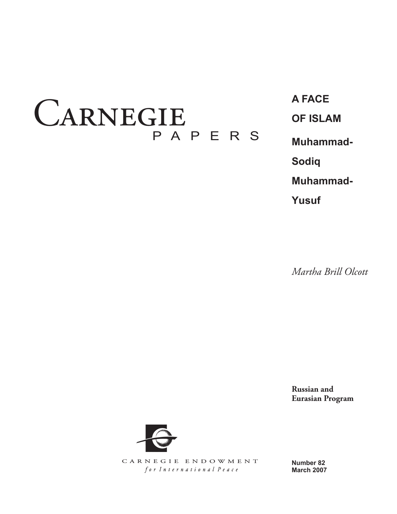

**A Face of Islam Muhammad-Sodiq Muhammad-Yusuf**

*Martha Brill Olcott*

**Russian and Eurasian Program**



CARNEGIE ENDOWMENT for International Peace

**Number 82 March 2007**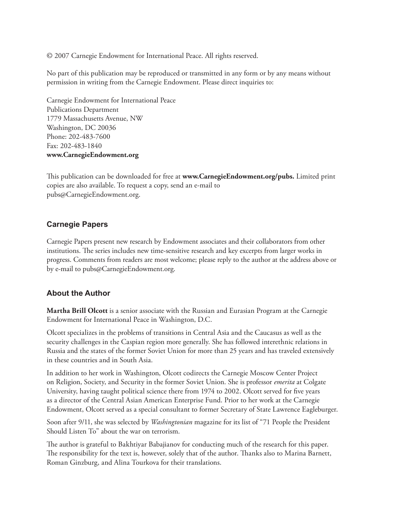© 2007 Carnegie Endowment for International Peace. All rights reserved.

No part of this publication may be reproduced or transmitted in any form or by any means without permission in writing from the Carnegie Endowment. Please direct inquiries to:

Carnegie Endowment for International Peace Publications Department 1779 Massachusetts Avenue, NW Washington, DC 20036 Phone: 202-483-7600 Fax: 202-483-1840 **www.CarnegieEndowment.org**

This publication can be downloaded for free at **www.CarnegieEndowment.org/pubs.** Limited print copies are also available. To request a copy, send an e-mail to pubs@CarnegieEndowment.org.

## **Carnegie Papers**

Carnegie Papers present new research by Endowment associates and their collaborators from other institutions. The series includes new time-sensitive research and key excerpts from larger works in progress. Comments from readers are most welcome; please reply to the author at the address above or by e-mail to pubs@CarnegieEndowment.org.

## **About the Author**

**Martha Brill Olcott** is a senior associate with the Russian and Eurasian Program at the Carnegie Endowment for International Peace in Washington, D.C.

Olcott specializes in the problems of transitions in Central Asia and the Caucasus as well as the security challenges in the Caspian region more generally. She has followed interethnic relations in Russia and the states of the former Soviet Union for more than 25 years and has traveled extensively in these countries and in South Asia.

In addition to her work in Washington, Olcott codirects the Carnegie Moscow Center Project on Religion, Society, and Security in the former Soviet Union. She is professor *emerita* at Colgate University, having taught political science there from 1974 to 2002. Olcott served for five years as a director of the Central Asian American Enterprise Fund. Prior to her work at the Carnegie Endowment, Olcott served as a special consultant to former Secretary of State Lawrence Eagleburger.

Soon after 9/11, she was selected by *Washingtonian* magazine for its list of "71 People the President Should Listen To" about the war on terrorism.

The author is grateful to Bakhtiyar Babajianov for conducting much of the research for this paper. The responsibility for the text is, however, solely that of the author. Thanks also to Marina Barnett, Roman Ginzburg, and Alina Tourkova for their translations.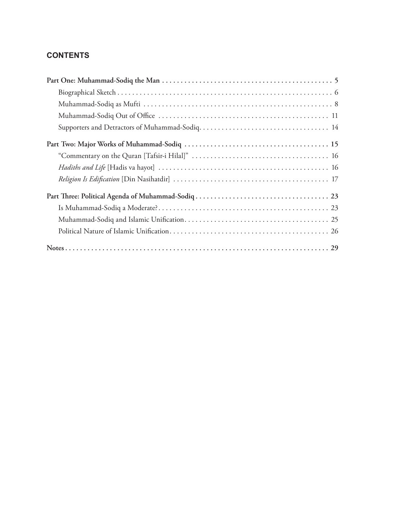# **Contents**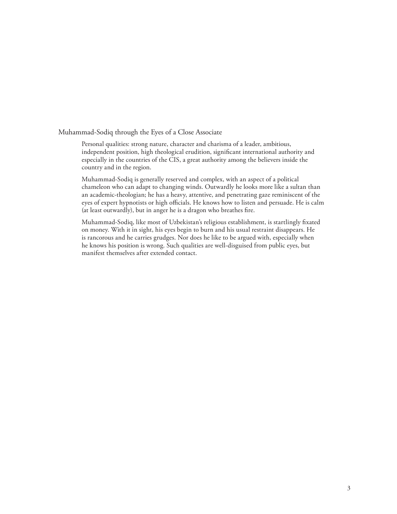#### Muhammad-Sodiq through the Eyes of a Close Associate

Personal qualities: strong nature, character and charisma of a leader, ambitious, independent position, high theological erudition, significant international authority and especially in the countries of the CIS, a great authority among the believers inside the country and in the region.

Muhammad-Sodiq is generally reserved and complex, with an aspect of a political chameleon who can adapt to changing winds. Outwardly he looks more like a sultan than an academic-theologian; he has a heavy, attentive, and penetrating gaze reminiscent of the eyes of expert hypnotists or high officials. He knows how to listen and persuade. He is calm (at least outwardly), but in anger he is a dragon who breathes fire.

Muhammad-Sodiq, like most of Uzbekistan's religious establishment, is startlingly fixated on money. With it in sight, his eyes begin to burn and his usual restraint disappears. He is rancorous and he carries grudges. Nor does he like to be argued with, especially when he knows his position is wrong. Such qualities are well-disguised from public eyes, but manifest themselves after extended contact.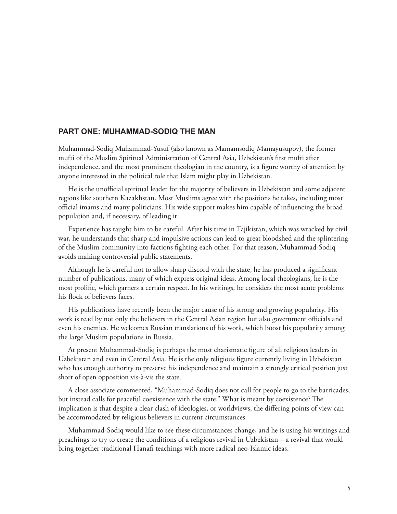## **Part One: Muhammad-Sodiq the Man**

Muhammad-Sodiq Muhammad-Yusuf (also known as Mamamsodiq Mamayusupov), the former mufti of the Muslim Spiritual Administration of Central Asia, Uzbekistan's first mufti after independence, and the most prominent theologian in the country, is a figure worthy of attention by anyone interested in the political role that Islam might play in Uzbekistan.

He is the unofficial spiritual leader for the majority of believers in Uzbekistan and some adjacent regions like southern Kazakhstan. Most Muslims agree with the positions he takes, including most official imams and many politicians. His wide support makes him capable of influencing the broad population and, if necessary, of leading it.

Experience has taught him to be careful. After his time in Tajikistan, which was wracked by civil war, he understands that sharp and impulsive actions can lead to great bloodshed and the splintering of the Muslim community into factions fighting each other. For that reason, Muhammad-Sodiq avoids making controversial public statements.

Although he is careful not to allow sharp discord with the state, he has produced a significant number of publications, many of which express original ideas. Among local theologians, he is the most prolific, which garners a certain respect. In his writings, he considers the most acute problems his flock of believers faces.

His publications have recently been the major cause of his strong and growing popularity. His work is read by not only the believers in the Central Asian region but also government officials and even his enemies. He welcomes Russian translations of his work, which boost his popularity among the large Muslim populations in Russia.

At present Muhammad-Sodiq is perhaps the most charismatic figure of all religious leaders in Uzbekistan and even in Central Asia. He is the only religious figure currently living in Uzbekistan who has enough authority to preserve his independence and maintain a strongly critical position just short of open opposition vis-à-vis the state.

A close associate commented, "Muhammad-Sodiq does not call for people to go to the barricades, but instead calls for peaceful coexistence with the state." What is meant by coexistence? The implication is that despite a clear clash of ideologies, or worldviews, the differing points of view can be accommodated by religious believers in current circumstances.

Muhammad-Sodiq would like to see these circumstances change, and he is using his writings and preachings to try to create the conditions of a religious revival in Uzbekistan—a revival that would bring together traditional Hanafi teachings with more radical neo-Islamic ideas.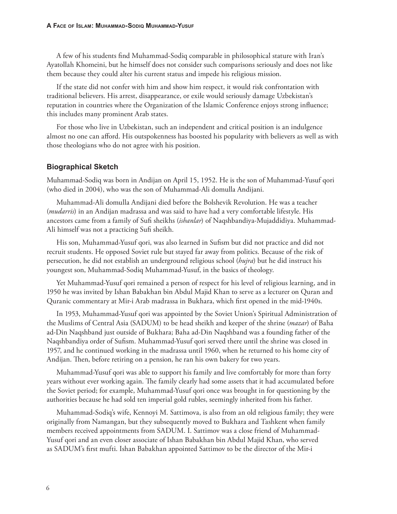A few of his students find Muhammad-Sodiq comparable in philosophical stature with Iran's Ayatollah Khomeini, but he himself does not consider such comparisons seriously and does not like them because they could alter his current status and impede his religious mission.

If the state did not confer with him and show him respect, it would risk confrontation with traditional believers. His arrest, disappearance, or exile would seriously damage Uzbekistan's reputation in countries where the Organization of the Islamic Conference enjoys strong influence; this includes many prominent Arab states.

For those who live in Uzbekistan, such an independent and critical position is an indulgence almost no one can afford. His outspokenness has boosted his popularity with believers as well as with those theologians who do not agree with his position.

### **Biographical Sketch**

Muhammad-Sodiq was born in Andijan on April 15, 1952. He is the son of Muhammad-Yusuf qori (who died in 2004), who was the son of Muhammad-Ali domulla Andijani.

Muhammad-Ali domulla Andijani died before the Bolshevik Revolution. He was a teacher (*mudarris*) in an Andijan madrassa and was said to have had a very comfortable lifestyle. His ancestors came from a family of Sufi sheikhs (*ishanlar*) of Naqshbandiya-Mujaddidiya. Muhammad-Ali himself was not a practicing Sufi sheikh.

His son, Muhammad-Yusuf qori, was also learned in Sufism but did not practice and did not recruit students. He opposed Soviet rule but stayed far away from politics. Because of the risk of persecution, he did not establish an underground religious school (*hujra*) but he did instruct his youngest son, Muhammad-Sodiq Muhammad-Yusuf, in the basics of theology.

Yet Muhammad-Yusuf qori remained a person of respect for his level of religious learning, and in 1950 he was invited by Ishan Babakhan bin Abdul Majid Khan to serve as a lecturer on Quran and Quranic commentary at Mir-i Arab madrassa in Bukhara, which first opened in the mid-1940s.

In 1953, Muhammad-Yusuf qori was appointed by the Soviet Union's Spiritual Administration of the Muslims of Central Asia (SADUM) to be head sheikh and keeper of the shrine (*mazar*) of Baha ad-Din Naqshband just outside of Bukhara; Baha ad-Din Naqshband was a founding father of the Naqshbandiya order of Sufism. Muhammad-Yusuf qori served there until the shrine was closed in 1957, and he continued working in the madrassa until 1960, when he returned to his home city of Andijan. Then, before retiring on a pension, he ran his own bakery for two years.

Muhammad-Yusuf qori was able to support his family and live comfortably for more than forty years without ever working again. The family clearly had some assets that it had accumulated before the Soviet period; for example, Muhammad-Yusuf qori once was brought in for questioning by the authorities because he had sold ten imperial gold rubles, seemingly inherited from his father.

Muhammad-Sodiq's wife, Kennoyi M. Sattimova, is also from an old religious family; they were originally from Namangan, but they subsequently moved to Bukhara and Tashkent when family members received appointments from SADUM. I. Sattimov was a close friend of Muhammad-Yusuf qori and an even closer associate of Ishan Babakhan bin Abdul Majid Khan, who served as SADUM's first mufti. Ishan Babakhan appointed Sattimov to be the director of the Mir-i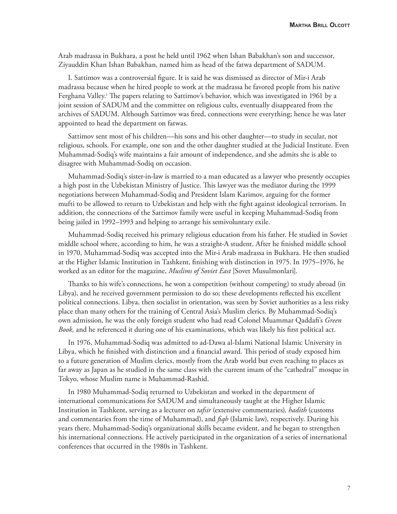Arab madrassa in Bukhara, a post he held until 1962 when Ishan Babakhan's son and successor, Ziyauddin Khan Ishan Babakhan, named him as head of the fatwa department of SADUM.

I. Sattimov was a controversial figure. It is said he was dismissed as director of Mir-i Arab madrassa because when he hired people to work at the madrassa he favored people from his native Ferghana Valley.1 The papers relating to Sattimov's behavior, which was investigated in 1961 by a joint session of SADUM and the committee on religious cults, eventually disappeared from the archives of SADUM. Although Sattimov was fired, connections were everything; hence he was later appointed to head the department on fatwas.

Sattimov sent most of his children—his sons and his other daughter—to study in secular, not religious, schools. For example, one son and the other daughter studied at the Judicial Institute. Even Muhammad-Sodiq's wife maintains a fair amount of independence, and she admits she is able to disagree with Muhammad-Sodiq on occasion.

Muhammad-Sodiq's sister-in-law is married to a man educated as a lawyer who presently occupies a high post in the Uzbekistan Ministry of Justice. This lawyer was the mediator during the 1999 negotiations between Muhammad-Sodiq and President Islam Karimov, arguing for the former mufti to be allowed to return to Uzbekistan and help with the fight against ideological terrorism. In addition, the connections of the Sattimov family were useful in keeping Muhammad-Sodiq from being jailed in 1992–1993 and helping to arrange his semivoluntary exile.

Muhammad-Sodiq received his primary religious education from his father. He studied in Soviet middle school where, according to him, he was a straight-A student. After he finished middle school in 1970, Muhammad-Sodiq was accepted into the Mir-i Arab madrassa in Bukhara. He then studied at the Higher Islamic Institution in Tashkent, finishing with distinction in 1975. In 1975–1976, he worked as an editor for the magazine, *Muslims of Soviet East* [Sovet Musulmonlari].

Thanks to his wife's connections, he won a competition (without competing) to study abroad (in Libya), and he received government permission to do so; these developments reflected his excellent political connections. Libya, then socialist in orientation, was seen by Soviet authorities as a less risky place than many others for the training of Central Asia's Muslim clerics. By Muhammad-Sodiq's own admission, he was the only foreign student who had read Colonel Muammar Qaddafi's *Green Book,* and he referenced it during one of his examinations, which was likely his first political act.

In 1976, Muhammad-Sodiq was admitted to ad-Dawa al-Islami National Islamic University in Libya, which he finished with distinction and a financial award. This period of study exposed him to a future generation of Muslim clerics, mostly from the Arab world but even reaching to places as far away as Japan as he studied in the same class with the current imam of the "cathedral" mosque in Tokyo, whose Muslim name is Muhammad-Rashid.

In 1980 Muhammad-Sodiq returned to Uzbekistan and worked in the department of international communications for SADUM and simultaneously taught at the Higher Islamic Institution in Tashkent, serving as a lecturer on *tafsir* (extensive commentaries)*, hadith* (customs and commentaries from the time of Muhammad), and *fiqh* (Islamic law), respectively. During his years there, Muhammad-Sodiq's organizational skills became evident, and he began to strengthen his international connections. He actively participated in the organization of a series of international conferences that occurred in the 1980s in Tashkent.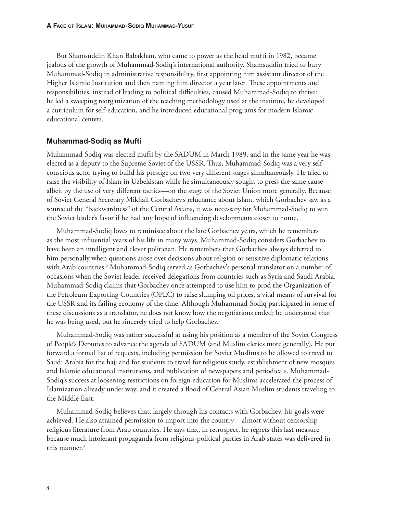But Shamsuddin Khan Babakhan, who came to power as the head mufti in 1982, became jealous of the growth of Muhammad-Sodiq's international authority. Shamsuddin tried to bury Muhammad-Sodiq in administrative responsibility, first appointing him assistant director of the Higher Islamic Institution and then naming him director a year later. These appointments and responsibilities, instead of leading to political difficulties, caused Muhammad-Sodiq to thrive: he led a sweeping reorganization of the teaching methodology used at the institute, he developed a curriculum for self-education, and he introduced educational programs for modern Islamic educational centers.

### **Muhammad-Sodiq as Mufti**

Muhammad-Sodiq was elected mufti by the SADUM in March 1989, and in the same year he was elected as a deputy to the Supreme Soviet of the USSR. Thus, Muhammad-Sodiq was a very selfconscious actor trying to build his prestige on two very different stages simultaneously. He tried to raise the visibility of Islam in Uzbekistan while he simultaneously sought to press the same cause albeit by the use of very different tactics—on the stage of the Soviet Union more generally. Because of Soviet General Secretary Mikhail Gorbachev's reluctance about Islam, which Gorbachev saw as a source of the "backwardness" of the Central Asians, it was necessary for Muhammad-Sodiq to win the Soviet leader's favor if he had any hope of influencing developments closer to home.

Muhammad-Sodiq loves to reminisce about the late Gorbachev years, which he remembers as the most influential years of his life in many ways. Muhammad-Sodiq considers Gorbachev to have been an intelligent and clever politician. He remembers that Gorbachev always deferred to him personally when questions arose over decisions about religion or sensitive diplomatic relations with Arab countries.2 Muhammad-Sodiq served as Gorbachev's personal translator on a number of occasions when the Soviet leader received delegations from countries such as Syria and Saudi Arabia. Muhammad-Sodiq claims that Gorbachev once attempted to use him to prod the Organization of the Petroleum Exporting Countries (OPEC) to raise slumping oil prices, a vital means of survival for the USSR and its failing economy of the time. Although Muhammad-Sodiq participated in some of these discussions as a translator, he does not know how the negotiations ended; he understood that he was being used, but he sincerely tried to help Gorbachev.

Muhammad-Sodiq was rather successful at using his position as a member of the Soviet Congress of People's Deputies to advance the agenda of SADUM (and Muslim clerics more generally). He put forward a formal list of requests, including permission for Soviet Muslims to be allowed to travel to Saudi Arabia for the hajj and for students to travel for religious study, establishment of new mosques and Islamic educational institutions, and publication of newspapers and periodicals. Muhammad-Sodiq's success at loosening restrictions on foreign education for Muslims accelerated the process of Islamization already under way, and it created a flood of Central Asian Muslim students traveling to the Middle East.

Muhammad-Sodiq believes that, largely through his contacts with Gorbachev, his goals were achieved. He also attained permission to import into the country—almost without censorship religious literature from Arab countries. He says that, in retrospect, he regrets this last measure because much intolerant propaganda from religious-political parties in Arab states was delivered in this manner  $3$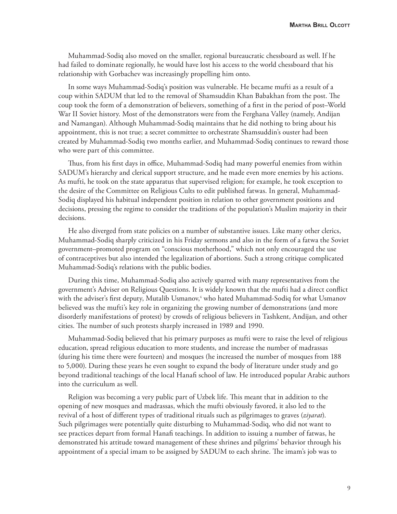Muhammad-Sodiq also moved on the smaller, regional bureaucratic chessboard as well. If he had failed to dominate regionally, he would have lost his access to the world chessboard that his relationship with Gorbachev was increasingly propelling him onto.

In some ways Muhammad-Sodiq's position was vulnerable. He became mufti as a result of a coup within SADUM that led to the removal of Shamsuddin Khan Babakhan from the post. The coup took the form of a demonstration of believers, something of a first in the period of post–World War II Soviet history. Most of the demonstrators were from the Ferghana Valley (namely, Andijan and Namangan). Although Muhammad-Sodiq maintains that he did nothing to bring about his appointment, this is not true; a secret committee to orchestrate Shamsuddin's ouster had been created by Muhammad-Sodiq two months earlier, and Muhammad-Sodiq continues to reward those who were part of this committee.

Thus, from his first days in office, Muhammad-Sodiq had many powerful enemies from within SADUM's hierarchy and clerical support structure, and he made even more enemies by his actions. As mufti, he took on the state apparatus that supervised religion; for example, he took exception to the desire of the Committee on Religious Cults to edit published fatwas. In general, Muhammad-Sodiq displayed his habitual independent position in relation to other government positions and decisions, pressing the regime to consider the traditions of the population's Muslim majority in their decisions.

He also diverged from state policies on a number of substantive issues. Like many other clerics, Muhammad-Sodiq sharply criticized in his Friday sermons and also in the form of a fatwa the Soviet government–promoted program on "conscious motherhood," which not only encouraged the use of contraceptives but also intended the legalization of abortions. Such a strong critique complicated Muhammad-Sodiq's relations with the public bodies.

During this time, Muhammad-Sodiq also actively sparred with many representatives from the government's Adviser on Religious Questions. It is widely known that the mufti had a direct conflict with the adviser's first deputy, Mutalib Usmanov,<sup>4</sup> who hated Muhammad-Sodiq for what Usmanov believed was the mufti's key role in organizing the growing number of demonstrations (and more disorderly manifestations of protest) by crowds of religious believers in Tashkent, Andijan, and other cities. The number of such protests sharply increased in 1989 and 1990.

Muhammad-Sodiq believed that his primary purposes as mufti were to raise the level of religious education, spread religious education to more students, and increase the number of madrassas (during his time there were fourteen) and mosques (he increased the number of mosques from 188 to 5,000). During these years he even sought to expand the body of literature under study and go beyond traditional teachings of the local Hanafi school of law. He introduced popular Arabic authors into the curriculum as well.

Religion was becoming a very public part of Uzbek life. This meant that in addition to the opening of new mosques and madrassas, which the mufti obviously favored, it also led to the revival of a host of different types of traditional rituals such as pilgrimages to graves (*ziyarat*). Such pilgrimages were potentially quite disturbing to Muhammad-Sodiq, who did not want to see practices depart from formal Hanafi teachings. In addition to issuing a number of fatwas, he demonstrated his attitude toward management of these shrines and pilgrims' behavior through his appointment of a special imam to be assigned by SADUM to each shrine. The imam's job was to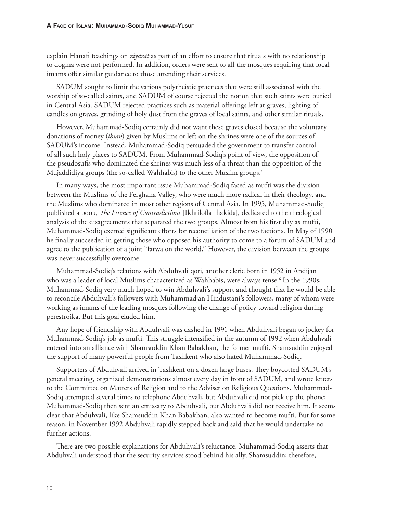explain Hanafi teachings on *ziyarat* as part of an effort to ensure that rituals with no relationship to dogma were not performed. In addition, orders were sent to all the mosques requiring that local imams offer similar guidance to those attending their services.

SADUM sought to limit the various polytheistic practices that were still associated with the worship of so-called saints, and SADUM of course rejected the notion that such saints were buried in Central Asia. SADUM rejected practices such as material offerings left at graves, lighting of candles on graves, grinding of holy dust from the graves of local saints, and other similar rituals.

However, Muhammad-Sodiq certainly did not want these graves closed because the voluntary donations of money (*ihsan*) given by Muslims or left on the shrines were one of the sources of SADUM's income. Instead, Muhammad-Sodiq persuaded the government to transfer control of all such holy places to SADUM. From Muhammad-Sodiq's point of view, the opposition of the pseudosufis who dominated the shrines was much less of a threat than the opposition of the Mujaddidiya groups (the so-called Wahhabis) to the other Muslim groups.<sup>5</sup>

In many ways, the most important issue Muhammad-Sodiq faced as mufti was the division between the Muslims of the Ferghana Valley, who were much more radical in their theology, and the Muslims who dominated in most other regions of Central Asia. In 1995, Muhammad-Sodiq published a book, *The Essence of Contradictions* [Ikhtiloflar hakida], dedicated to the theological analysis of the disagreements that separated the two groups. Almost from his first day as mufti, Muhammad-Sodiq exerted significant efforts for reconciliation of the two factions. In May of 1990 he finally succeeded in getting those who opposed his authority to come to a forum of SADUM and agree to the publication of a joint "fatwa on the world." However, the division between the groups was never successfully overcome.

Muhammad-Sodiq's relations with Abduhvali qori, another cleric born in 1952 in Andijan who was a leader of local Muslims characterized as Wahhabis, were always tense.<sup>6</sup> In the 1990s, Muhammad-Sodiq very much hoped to win Abduhvali's support and thought that he would be able to reconcile Abduhvali's followers with Muhammadjan Hindustani's followers, many of whom were working as imams of the leading mosques following the change of policy toward religion during perestroika. But this goal eluded him.

Any hope of friendship with Abduhvali was dashed in 1991 when Abduhvali began to jockey for Muhammad-Sodiq's job as mufti. This struggle intensified in the autumn of 1992 when Abduhvali entered into an alliance with Shamsuddin Khan Babakhan, the former mufti. Shamsuddin enjoyed the support of many powerful people from Tashkent who also hated Muhammad-Sodiq.

Supporters of Abduhvali arrived in Tashkent on a dozen large buses. They boycotted SADUM's general meeting, organized demonstrations almost every day in front of SADUM, and wrote letters to the Committee on Matters of Religion and to the Adviser on Religious Questions. Muhammad-Sodiq attempted several times to telephone Abduhvali, but Abduhvali did not pick up the phone; Muhammad-Sodiq then sent an emissary to Abduhvali, but Abduhvali did not receive him. It seems clear that Abduhvali, like Shamsuddin Khan Babakhan, also wanted to become mufti. But for some reason, in November 1992 Abduhvali rapidly stepped back and said that he would undertake no further actions.

There are two possible explanations for Abduhvali's reluctance. Muhammad-Sodiq asserts that Abduhvali understood that the security services stood behind his ally, Shamsuddin; therefore,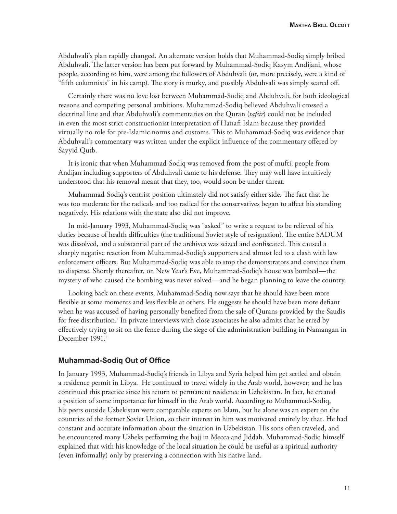Abduhvali's plan rapidly changed. An alternate version holds that Muhammad-Sodiq simply bribed Abduhvali. The latter version has been put forward by Muhammad-Sodiq Kasym Andijani, whose people, according to him, were among the followers of Abduhvali (or, more precisely, were a kind of "fifth columnists" in his camp). The story is murky, and possibly Abduhvali was simply scared off.

Certainly there was no love lost between Muhammad-Sodiq and Abduhvali, for both ideological reasons and competing personal ambitions. Muhammad-Sodiq believed Abduhvali crossed a doctrinal line and that Abduhvali's commentaries on the Quran (*tafsir*) could not be included in even the most strict constructionist interpretation of Hanafi Islam because they provided virtually no role for pre-Islamic norms and customs. This to Muhammad-Sodiq was evidence that Abduhvali's commentary was written under the explicit influence of the commentary offered by Sayyid Qutb.

It is ironic that when Muhammad-Sodiq was removed from the post of mufti, people from Andijan including supporters of Abduhvali came to his defense. They may well have intuitively understood that his removal meant that they, too, would soon be under threat.

Muhammad-Sodiq's centrist position ultimately did not satisfy either side. The fact that he was too moderate for the radicals and too radical for the conservatives began to affect his standing negatively. His relations with the state also did not improve.

In mid-January 1993, Muhammad-Sodiq was "asked" to write a request to be relieved of his duties because of health difficulties (the traditional Soviet style of resignation). The entire SADUM was dissolved, and a substantial part of the archives was seized and confiscated. This caused a sharply negative reaction from Muhammad-Sodiq's supporters and almost led to a clash with law enforcement officers. But Muhammad-Sodiq was able to stop the demonstrators and convince them to disperse. Shortly thereafter, on New Year's Eve, Muhammad-Sodiq's house was bombed—the mystery of who caused the bombing was never solved—and he began planning to leave the country.

Looking back on these events, Muhammad-Sodiq now says that he should have been more flexible at some moments and less flexible at others. He suggests he should have been more defiant when he was accused of having personally benefited from the sale of Qurans provided by the Saudis for free distribution.7 In private interviews with close associates he also admits that he erred by effectively trying to sit on the fence during the siege of the administration building in Namangan in December 1991.<sup>8</sup>

### **Muhammad-Sodiq Out of Office**

In January 1993, Muhammad-Sodiq's friends in Libya and Syria helped him get settled and obtain a residence permit in Libya. He continued to travel widely in the Arab world, however; and he has continued this practice since his return to permanent residence in Uzbekistan. In fact, he created a position of some importance for himself in the Arab world. According to Muhammad-Sodiq, his peers outside Uzbekistan were comparable experts on Islam, but he alone was an expert on the countries of the former Soviet Union, so their interest in him was motivated entirely by that. He had constant and accurate information about the situation in Uzbekistan. His sons often traveled, and he encountered many Uzbeks performing the hajj in Mecca and Jiddah. Muhammad-Sodiq himself explained that with his knowledge of the local situation he could be useful as a spiritual authority (even informally) only by preserving a connection with his native land.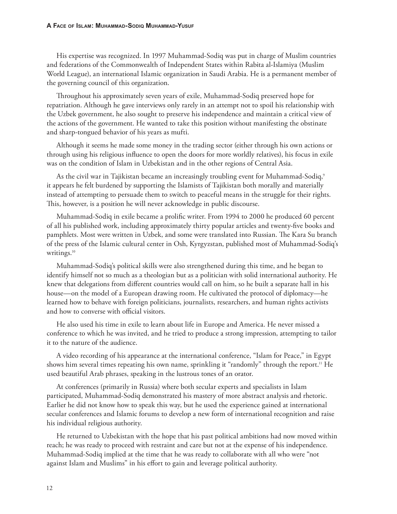#### **A Face of Islam: Muhammad-Sodiq Muhammad-Yusuf**

His expertise was recognized. In 1997 Muhammad-Sodiq was put in charge of Muslim countries and federations of the Commonwealth of Independent States within Rabita al-Islamiya (Muslim World League), an international Islamic organization in Saudi Arabia. He is a permanent member of the governing council of this organization.

Throughout his approximately seven years of exile, Muhammad-Sodiq preserved hope for repatriation. Although he gave interviews only rarely in an attempt not to spoil his relationship with the Uzbek government, he also sought to preserve his independence and maintain a critical view of the actions of the government. He wanted to take this position without manifesting the obstinate and sharp-tongued behavior of his years as mufti.

Although it seems he made some money in the trading sector (either through his own actions or through using his religious influence to open the doors for more worldly relatives), his focus in exile was on the condition of Islam in Uzbekistan and in the other regions of Central Asia.

As the civil war in Tajikistan became an increasingly troubling event for Muhammad-Sodiq,<sup>9</sup> it appears he felt burdened by supporting the Islamists of Tajikistan both morally and materially instead of attempting to persuade them to switch to peaceful means in the struggle for their rights. This, however, is a position he will never acknowledge in public discourse.

Muhammad-Sodiq in exile became a prolific writer. From 1994 to 2000 he produced 60 percent of all his published work, including approximately thirty popular articles and twenty-five books and pamphlets. Most were written in Uzbek, and some were translated into Russian. The Kara Su branch of the press of the Islamic cultural center in Osh, Kyrgyzstan, published most of Muhammad-Sodiq's writings.<sup>10</sup>

Muhammad-Sodiq's political skills were also strengthened during this time, and he began to identify himself not so much as a theologian but as a politician with solid international authority. He knew that delegations from different countries would call on him, so he built a separate hall in his house—on the model of a European drawing room. He cultivated the protocol of diplomacy—he learned how to behave with foreign politicians, journalists, researchers, and human rights activists and how to converse with official visitors.

He also used his time in exile to learn about life in Europe and America. He never missed a conference to which he was invited, and he tried to produce a strong impression, attempting to tailor it to the nature of the audience.

A video recording of his appearance at the international conference, "Islam for Peace," in Egypt shows him several times repeating his own name, sprinkling it "randomly" through the report.<sup>11</sup> He used beautiful Arab phrases, speaking in the lustrous tones of an orator.

At conferences (primarily in Russia) where both secular experts and specialists in Islam participated, Muhammad-Sodiq demonstrated his mastery of more abstract analysis and rhetoric. Earlier he did not know how to speak this way, but he used the experience gained at international secular conferences and Islamic forums to develop a new form of international recognition and raise his individual religious authority.

He returned to Uzbekistan with the hope that his past political ambitions had now moved within reach; he was ready to proceed with restraint and care but not at the expense of his independence. Muhammad-Sodiq implied at the time that he was ready to collaborate with all who were "not against Islam and Muslims" in his effort to gain and leverage political authority.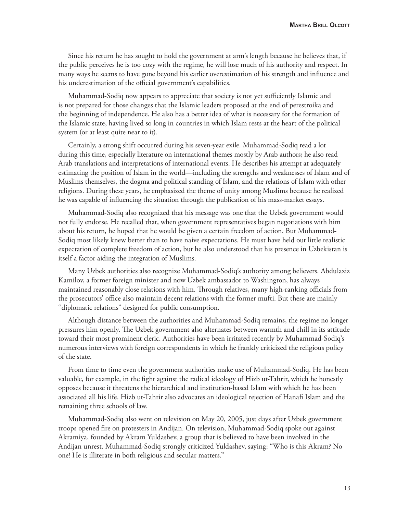Since his return he has sought to hold the government at arm's length because he believes that, if the public perceives he is too cozy with the regime, he will lose much of his authority and respect. In many ways he seems to have gone beyond his earlier overestimation of his strength and influence and his underestimation of the official government's capabilities.

Muhammad-Sodiq now appears to appreciate that society is not yet sufficiently Islamic and is not prepared for those changes that the Islamic leaders proposed at the end of perestroika and the beginning of independence. He also has a better idea of what is necessary for the formation of the Islamic state, having lived so long in countries in which Islam rests at the heart of the political system (or at least quite near to it).

Certainly, a strong shift occurred during his seven-year exile. Muhammad-Sodiq read a lot during this time, especially literature on international themes mostly by Arab authors; he also read Arab translations and interpretations of international events. He describes his attempt at adequately estimating the position of Islam in the world—including the strengths and weaknesses of Islam and of Muslims themselves, the dogma and political standing of Islam, and the relations of Islam with other religions. During these years, he emphasized the theme of unity among Muslims because he realized he was capable of influencing the situation through the publication of his mass-market essays.

Muhammad-Sodiq also recognized that his message was one that the Uzbek government would not fully endorse. He recalled that, when government representatives began negotiations with him about his return, he hoped that he would be given a certain freedom of action. But Muhammad-Sodiq most likely knew better than to have naive expectations. He must have held out little realistic expectation of complete freedom of action, but he also understood that his presence in Uzbekistan is itself a factor aiding the integration of Muslims.

Many Uzbek authorities also recognize Muhammad-Sodiq's authority among believers. Abdulaziz Kamilov, a former foreign minister and now Uzbek ambassador to Washington, has always maintained reasonably close relations with him. Through relatives, many high-ranking officials from the prosecutors' office also maintain decent relations with the former mufti. But these are mainly "diplomatic relations" designed for public consumption.

Although distance between the authorities and Muhammad-Sodiq remains, the regime no longer pressures him openly. The Uzbek government also alternates between warmth and chill in its attitude toward their most prominent cleric. Authorities have been irritated recently by Muhammad-Sodiq's numerous interviews with foreign correspondents in which he frankly criticized the religious policy of the state.

From time to time even the government authorities make use of Muhammad-Sodiq. He has been valuable, for example, in the fight against the radical ideology of Hizb ut-Tahrir, which he honestly opposes because it threatens the hierarchical and institution-based Islam with which he has been associated all his life. Hizb ut-Tahrir also advocates an ideological rejection of Hanafi Islam and the remaining three schools of law.

Muhammad-Sodiq also went on television on May 20, 2005, just days after Uzbek government troops opened fire on protesters in Andijan. On television, Muhammad-Sodiq spoke out against Akramiya, founded by Akram Yuldashev, a group that is believed to have been involved in the Andijan unrest. Muhammad-Sodiq strongly criticized Yuldashev, saying: "Who is this Akram? No one! He is illiterate in both religious and secular matters."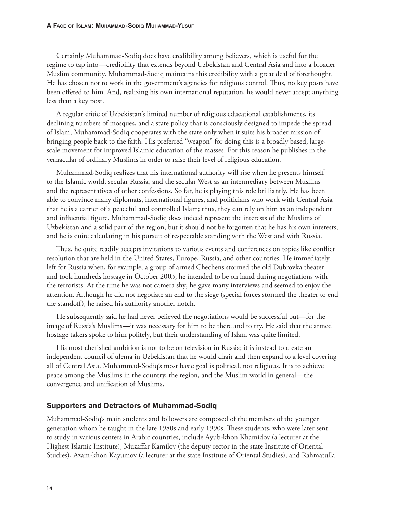Certainly Muhammad-Sodiq does have credibility among believers, which is useful for the regime to tap into—credibility that extends beyond Uzbekistan and Central Asia and into a broader Muslim community. Muhammad-Sodiq maintains this credibility with a great deal of forethought. He has chosen not to work in the government's agencies for religious control. Thus, no key posts have been offered to him. And, realizing his own international reputation, he would never accept anything less than a key post.

A regular critic of Uzbekistan's limited number of religious educational establishments, its declining numbers of mosques, and a state policy that is consciously designed to impede the spread of Islam, Muhammad-Sodiq cooperates with the state only when it suits his broader mission of bringing people back to the faith. His preferred "weapon" for doing this is a broadly based, largescale movement for improved Islamic education of the masses. For this reason he publishes in the vernacular of ordinary Muslims in order to raise their level of religious education.

Muhammad-Sodiq realizes that his international authority will rise when he presents himself to the Islamic world, secular Russia, and the secular West as an intermediary between Muslims and the representatives of other confessions. So far, he is playing this role brilliantly. He has been able to convince many diplomats, international figures, and politicians who work with Central Asia that he is a carrier of a peaceful and controlled Islam; thus, they can rely on him as an independent and influential figure. Muhammad-Sodiq does indeed represent the interests of the Muslims of Uzbekistan and a solid part of the region, but it should not be forgotten that he has his own interests, and he is quite calculating in his pursuit of respectable standing with the West and with Russia.

Thus, he quite readily accepts invitations to various events and conferences on topics like conflict resolution that are held in the United States, Europe, Russia, and other countries. He immediately left for Russia when, for example, a group of armed Chechens stormed the old Dubrovka theater and took hundreds hostage in October 2003; he intended to be on hand during negotiations with the terrorists. At the time he was not camera shy; he gave many interviews and seemed to enjoy the attention. Although he did not negotiate an end to the siege (special forces stormed the theater to end the standoff), he raised his authority another notch.

He subsequently said he had never believed the negotiations would be successful but—for the image of Russia's Muslims—it was necessary for him to be there and to try. He said that the armed hostage takers spoke to him politely, but their understanding of Islam was quite limited.

His most cherished ambition is not to be on television in Russia; it is instead to create an independent council of ulema in Uzbekistan that he would chair and then expand to a level covering all of Central Asia. Muhammad-Sodiq's most basic goal is political, not religious. It is to achieve peace among the Muslims in the country, the region, and the Muslim world in general—the convergence and unification of Muslims.

### **Supporters and Detractors of Muhammad-Sodiq**

Muhammad-Sodiq's main students and followers are composed of the members of the younger generation whom he taught in the late 1980s and early 1990s. These students, who were later sent to study in various centers in Arabic countries, include Ayub-khon Khamidov (a lecturer at the Highest Islamic Institute), Muzaffar Kamilov (the deputy rector in the state Institute of Oriental Studies), Azam-khon Kayumov (a lecturer at the state Institute of Oriental Studies), and Rahmatulla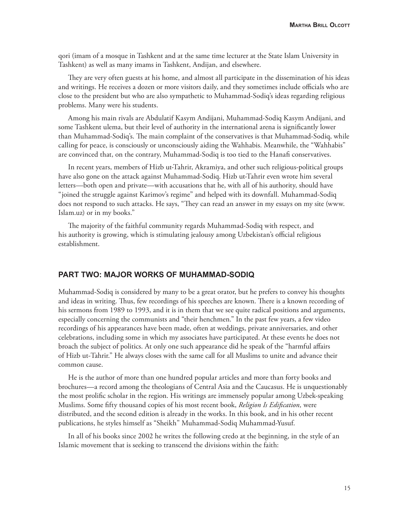qori (imam of a mosque in Tashkent and at the same time lecturer at the State Islam University in Tashkent) as well as many imams in Tashkent, Andijan, and elsewhere.

They are very often guests at his home, and almost all participate in the dissemination of his ideas and writings. He receives a dozen or more visitors daily, and they sometimes include officials who are close to the president but who are also sympathetic to Muhammad-Sodiq's ideas regarding religious problems. Many were his students.

Among his main rivals are Abdulatif Kasym Andijani, Muhammad-Sodiq Kasym Andijani, and some Tashkent ulema, but their level of authority in the international arena is significantly lower than Muhammad-Sodiq's. The main complaint of the conservatives is that Muhammad-Sodiq, while calling for peace, is consciously or unconsciously aiding the Wahhabis. Meanwhile, the "Wahhabis" are convinced that, on the contrary, Muhammad-Sodiq is too tied to the Hanafi conservatives.

In recent years, members of Hizb ut-Tahrir, Akramiya, and other such religious-political groups have also gone on the attack against Muhammad-Sodiq. Hizb ut-Tahrir even wrote him several letters—both open and private—with accusations that he, with all of his authority, should have "joined the struggle against Karimov's regime" and helped with its downfall. Muhammad-Sodiq does not respond to such attacks. He says, "They can read an answer in my essays on my site (www. Islam.uz) or in my books."

The majority of the faithful community regards Muhammad-Sodiq with respect, and his authority is growing, which is stimulating jealousy among Uzbekistan's official religious establishment.

## **Part Two: Major Works of Muhammad-Sodiq**

Muhammad-Sodiq is considered by many to be a great orator, but he prefers to convey his thoughts and ideas in writing. Thus, few recordings of his speeches are known. There is a known recording of his sermons from 1989 to 1993, and it is in them that we see quite radical positions and arguments, especially concerning the communists and "their henchmen." In the past few years, a few video recordings of his appearances have been made, often at weddings, private anniversaries, and other celebrations, including some in which my associates have participated. At these events he does not broach the subject of politics. At only one such appearance did he speak of the "harmful affairs of Hizb ut-Tahrir." He always closes with the same call for all Muslims to unite and advance their common cause.

He is the author of more than one hundred popular articles and more than forty books and brochures—a record among the theologians of Central Asia and the Caucasus. He is unquestionably the most prolific scholar in the region. His writings are immensely popular among Uzbek-speaking Muslims. Some fifty thousand copies of his most recent book, *Religion Is Edification,* were distributed, and the second edition is already in the works. In this book, and in his other recent publications, he styles himself as "Sheikh" Muhammad-Sodiq Muhammad-Yusuf.

In all of his books since 2002 he writes the following credo at the beginning, in the style of an Islamic movement that is seeking to transcend the divisions within the faith: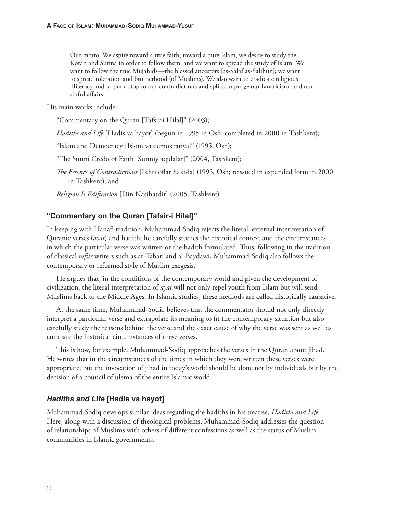Our motto: We aspire toward a true faith, toward a pure Islam, we desire to study the Koran and Sunna in order to follow them, and we want to spread the study of Islam. We want to follow the true Mujahids—the blessed ancestors [as-Salaf as-Salihun]; we want to spread toleration and brotherhood (of Muslims). We also want to eradicate religious illiteracy and to put a stop to our contradictions and splits, to purge our fanaticism, and our sinful affairs.

His main works include:

"Commentary on the Quran [Tafsir-i Hilal]" (2003);

*Hadiths and Life* [Hadis va hayot] (begun in 1995 in Osh; completed in 2000 in Tashkent);

"Islam and Democracy [Islom va demokratiya]" (1995, Osh);

"The Sunni Credo of Faith [Sunniy aqidalar]" (2004, Tashkent);

*The Essence of Contradictions* [Ikhtiloflar hakida] (1995, Osh; reissued in expanded form in 2000 in Tashkent); and

*Religion Is Edification* [Din Nasihatdir] (2005, Tashkent)

### **"Commentary on the Quran [Tafsir-i Hilal]"**

In keeping with Hanafi tradition, Muhammad-Sodiq rejects the literal, external interpretation of Quranic verses (*ayat*) and hadith; he carefully studies the historical context and the circumstances in which the particular verse was written or the hadith formulated. Thus, following in the tradition of classical *tafsir* writers such as at-Tabari and al-Baydawi, Muhammad-Sodiq also follows the contemporary or reformed style of Muslim exegesis.

He argues that, in the conditions of the contemporary world and given the development of civilization, the literal interpretation of *ayat* will not only repel youth from Islam but will send Muslims back to the Middle Ages. In Islamic studies, these methods are called historically causative.

At the same time, Muhammad-Sodiq believes that the commentator should not only directly interpret a particular verse and extrapolate its meaning to fit the contemporary situation but also carefully study the reasons behind the verse and the exact cause of why the verse was sent as well as compare the historical circumstances of these verses.

This is how, for example, Muhammad-Sodiq approaches the verses in the Quran about jihad. He writes that in the circumstances of the times in which they were written these verses were appropriate, but the invocation of jihad in today's world should be done not by individuals but by the decision of a council of ulema of the entire Islamic world.

### *Hadiths and Life* **[Hadis va hayot]**

Muhammad-Sodiq develops similar ideas regarding the hadiths in his treatise, *Hadiths and Life.* Here, along with a discussion of theological problems, Muhammad-Sodiq addresses the question of relationships of Muslims with others of different confessions as well as the status of Muslim communities in Islamic governments.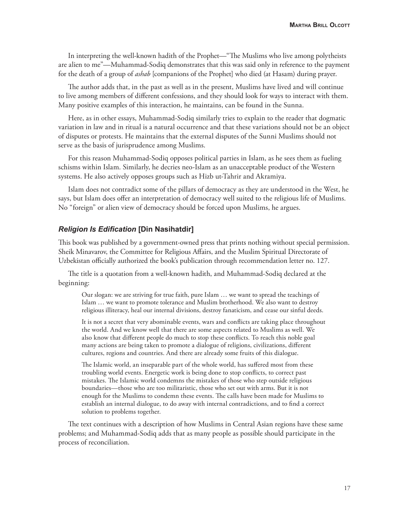In interpreting the well-known hadith of the Prophet—"The Muslims who live among polytheists are alien to me"—Muhammad-Sodiq demonstrates that this was said only in reference to the payment for the death of a group of *ashab* [companions of the Prophet] who died (at Hasam) during prayer.

The author adds that, in the past as well as in the present, Muslims have lived and will continue to live among members of different confessions, and they should look for ways to interact with them. Many positive examples of this interaction, he maintains, can be found in the Sunna.

Here, as in other essays, Muhammad-Sodiq similarly tries to explain to the reader that dogmatic variation in law and in ritual is a natural occurrence and that these variations should not be an object of disputes or protests. He maintains that the external disputes of the Sunni Muslims should not serve as the basis of jurisprudence among Muslims.

For this reason Muhammad-Sodiq opposes political parties in Islam, as he sees them as fueling schisms within Islam. Similarly, he decries neo-Islam as an unacceptable product of the Western systems. He also actively opposes groups such as Hizb ut-Tahrir and Akramiya.

Islam does not contradict some of the pillars of democracy as they are understood in the West, he says, but Islam does offer an interpretation of democracy well suited to the religious life of Muslims. No "foreign" or alien view of democracy should be forced upon Muslims, he argues.

### *Religion Is Edification* **[Din Nasihatdir]**

This book was published by a government-owned press that prints nothing without special permission. Sheik Minavarov, the Committee for Religious Affairs, and the Muslim Spiritual Directorate of Uzbekistan officially authorized the book's publication through recommendation letter no. 127.

The title is a quotation from a well-known hadith, and Muhammad-Sodiq declared at the beginning:

Our slogan: we are striving for true faith, pure Islam … we want to spread the teachings of Islam … we want to promote tolerance and Muslim brotherhood. We also want to destroy religious illiteracy, heal our internal divisions, destroy fanaticism, and cease our sinful deeds.

It is not a secret that very abominable events, wars and conflicts are taking place throughout the world. And we know well that there are some aspects related to Muslims as well. We also know that different people do much to stop these conflicts. To reach this noble goal many actions are being taken to promote a dialogue of religions, civilizations, different cultures, regions and countries. And there are already some fruits of this dialogue.

The Islamic world, an inseparable part of the whole world, has suffered most from these troubling world events. Energetic work is being done to stop conflicts, to correct past mistakes. The Islamic world condemns the mistakes of those who step outside religious boundaries—those who are too militaristic, those who set out with arms. But it is not enough for the Muslims to condemn these events. The calls have been made for Muslims to establish an internal dialogue, to do away with internal contradictions, and to find a correct solution to problems together.

The text continues with a description of how Muslims in Central Asian regions have these same problems; and Muhammad-Sodiq adds that as many people as possible should participate in the process of reconciliation.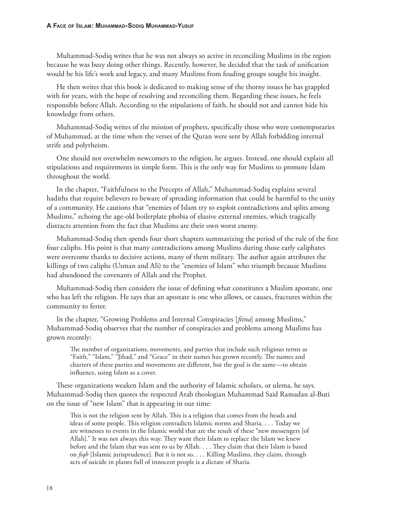#### **A Face of Islam: Muhammad-Sodiq Muhammad-Yusuf**

Muhammad-Sodiq writes that he was not always so active in reconciling Muslims in the region because he was busy doing other things. Recently, however, he decided that the task of unification would be his life's work and legacy, and many Muslims from feuding groups sought his insight.

He then writes that this book is dedicated to making sense of the thorny issues he has grappled with for years, with the hope of resolving and reconciling them. Regarding these issues, he feels responsible before Allah. According to the stipulations of faith, he should not and cannot hide his knowledge from others.

Muhammad-Sodiq writes of the mission of prophets, specifically those who were contemporaries of Muhammad, at the time when the verses of the Quran were sent by Allah forbidding internal strife and polytheism.

One should not overwhelm newcomers to the religion, he argues. Instead, one should explain all stipulations and requirements in simple form. This is the only way for Muslims to promote Islam throughout the world.

In the chapter, "Faithfulness to the Precepts of Allah," Muhammad-Sodiq explains several hadiths that require believers to beware of spreading information that could be harmful to the unity of a community. He cautions that "enemies of Islam try to exploit contradictions and splits among Muslims," echoing the age-old boilerplate phobia of elusive external enemies, which tragically distracts attention from the fact that Muslims are their own worst enemy.

Muhammad-Sodiq then spends four short chapters summarizing the period of the rule of the first four caliphs. His point is that many contradictions among Muslims during those early caliphates were overcome thanks to decisive actions, many of them military. The author again attributes the killings of two caliphs (Usman and Ali) to the "enemies of Islam" who triumph because Muslims had abandoned the covenants of Allah and the Prophet.

Muhammad-Sodiq then considers the issue of defining what constitutes a Muslim apostate, one who has left the religion. He says that an apostate is one who allows, or causes, fractures within the community to fester.

In the chapter, "Growing Problems and Internal Conspiracies [*fitna*] among Muslims," Muhammad-Sodiq observes that the number of conspiracies and problems among Muslims has grown recently:

The number of organizations, movements, and parties that include such religious terms as "Faith," "Islam," "Jihad," and "Grace" in their names has grown recently. The names and charters of these parties and movements are different, but the goal is the same—to obtain influence, using Islam as a cover.

These organizations weaken Islam and the authority of Islamic scholars, or ulema, he says. Muhammad-Sodiq then quotes the respected Arab theologian Muhammad Said Ramadan al-Buti on the issue of "new Islam" that is appearing in our time:

This is not the religion sent by Allah. This is a religion that comes from the heads and ideas of some people. This religion contradicts Islamic norms and Sharia. . . . Today we are witnesses to events in the Islamic world that are the result of these "new messengers [of Allah]." It was not always this way. They want their Islam to replace the Islam we knew before and the Islam that was sent to us by Allah. . . . They claim that their Islam is based on *fiqh* [Islamic jurisprudence]. But it is not so. . . . Killing Muslims, they claim, through acts of suicide in planes full of innocent people is a dictate of Sharia.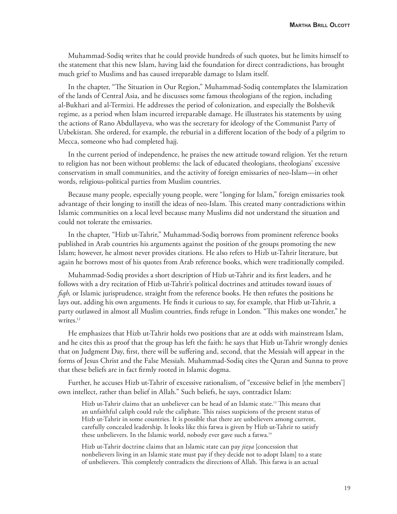Muhammad-Sodiq writes that he could provide hundreds of such quotes, but he limits himself to the statement that this new Islam, having laid the foundation for direct contradictions, has brought much grief to Muslims and has caused irreparable damage to Islam itself.

In the chapter, "The Situation in Our Region," Muhammad-Sodiq contemplates the Islamization of the lands of Central Asia, and he discusses some famous theologians of the region, including al-Bukhari and al-Termizi. He addresses the period of colonization, and especially the Bolshevik regime, as a period when Islam incurred irreparable damage. He illustrates his statements by using the actions of Rano Abdullayeva, who was the secretary for ideology of the Communist Party of Uzbekistan. She ordered, for example, the reburial in a different location of the body of a pilgrim to Mecca, someone who had completed hajj.

In the current period of independence, he praises the new attitude toward religion. Yet the return to religion has not been without problems: the lack of educated theologians, theologians' excessive conservatism in small communities, and the activity of foreign emissaries of neo-Islam—in other words, religious-political parties from Muslim countries.

Because many people, especially young people, were "longing for Islam," foreign emissaries took advantage of their longing to instill the ideas of neo-Islam. This created many contradictions within Islamic communities on a local level because many Muslims did not understand the situation and could not tolerate the emissaries.

In the chapter, "Hizb ut-Tahrir," Muhammad-Sodiq borrows from prominent reference books published in Arab countries his arguments against the position of the groups promoting the new Islam; however, he almost never provides citations. He also refers to Hizb ut-Tahrir literature, but again he borrows most of his quotes from Arab reference books, which were traditionally compiled.

Muhammad-Sodiq provides a short description of Hizb ut-Tahrir and its first leaders, and he follows with a dry recitation of Hizb ut-Tahrir's political doctrines and attitudes toward issues of *fiqh,* or Islamic jurisprudence, straight from the reference books. He then refutes the positions he lays out, adding his own arguments. He finds it curious to say, for example, that Hizb ut-Tahrir, a party outlawed in almost all Muslim countries, finds refuge in London. "This makes one wonder," he writes.<sup>12</sup>

He emphasizes that Hizb ut-Tahrir holds two positions that are at odds with mainstream Islam, and he cites this as proof that the group has left the faith: he says that Hizb ut-Tahrir wrongly denies that on Judgment Day, first, there will be suffering and, second, that the Messiah will appear in the forms of Jesus Christ and the False Messiah. Muhammad-Sodiq cites the Quran and Sunna to prove that these beliefs are in fact firmly rooted in Islamic dogma.

Further, he accuses Hizb ut-Tahrir of excessive rationalism, of "excessive belief in [the members'] own intellect, rather than belief in Allah." Such beliefs, he says, contradict Islam:

Hizb ut-Tahrir claims that an unbeliever can be head of an Islamic state.<sup>13</sup> This means that an unfaithful caliph could rule the caliphate. This raises suspicions of the present status of Hizb ut-Tahrir in some countries. It is possible that there are unbelievers among current, carefully concealed leadership. It looks like this fatwa is given by Hizb ut-Tahrir to satisfy these unbelievers. In the Islamic world, nobody ever gave such a fatwa.<sup>14</sup>

Hizb ut-Tahrir doctrine claims that an Islamic state can pay *jizya* [concession that nonbelievers living in an Islamic state must pay if they decide not to adopt Islam] to a state of unbelievers. This completely contradicts the directions of Allah. This fatwa is an actual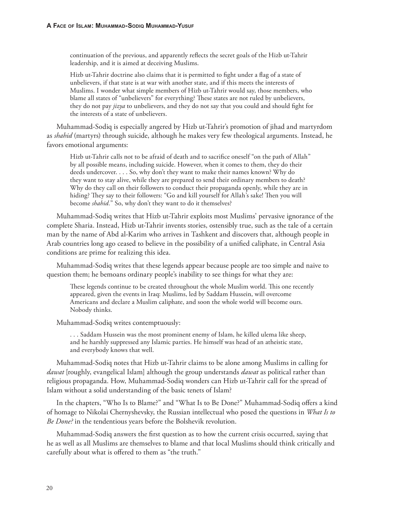continuation of the previous, and apparently reflects the secret goals of the Hizb ut-Tahrir leadership, and it is aimed at deceiving Muslims.

Hizb ut-Tahrir doctrine also claims that it is permitted to fight under a flag of a state of unbelievers, if that state is at war with another state, and if this meets the interests of Muslims. I wonder what simple members of Hizb ut-Tahrir would say, those members, who blame all states of "unbelievers" for everything? These states are not ruled by unbelievers, they do not pay *jizya* to unbelievers, and they do not say that you could and should fight for the interests of a state of unbelievers.

Muhammad-Sodiq is especially angered by Hizb ut-Tahrir's promotion of jihad and martyrdom as *shahid* (martyrs) through suicide, although he makes very few theological arguments. Instead, he favors emotional arguments:

Hizb ut-Tahrir calls not to be afraid of death and to sacrifice oneself "on the path of Allah" by all possible means, including suicide. However, when it comes to them, they do their deeds undercover. . . . So, why don't they want to make their names known? Why do they want to stay alive, while they are prepared to send their ordinary members to death? Why do they call on their followers to conduct their propaganda openly, while they are in hiding? They say to their followers: "Go and kill yourself for Allah's sake! Then you will become *shahid.*" So, why don't they want to do it themselves?

Muhammad-Sodiq writes that Hizb ut-Tahrir exploits most Muslims' pervasive ignorance of the complete Sharia. Instead, Hizb ut-Tahrir invents stories, ostensibly true, such as the tale of a certain man by the name of Abd al-Karim who arrives in Tashkent and discovers that, although people in Arab countries long ago ceased to believe in the possibility of a unified caliphate, in Central Asia conditions are prime for realizing this idea.

Muhammad-Sodiq writes that these legends appear because people are too simple and naive to question them; he bemoans ordinary people's inability to see things for what they are:

These legends continue to be created throughout the whole Muslim world. This one recently appeared, given the events in Iraq: Muslims, led by Saddam Hussein, will overcome Americans and declare a Muslim caliphate, and soon the whole world will become ours. Nobody thinks.

Muhammad-Sodiq writes contemptuously:

. . . Saddam Hussein was the most prominent enemy of Islam, he killed ulema like sheep, and he harshly suppressed any Islamic parties. He himself was head of an atheistic state, and everybody knows that well.

Muhammad-Sodiq notes that Hizb ut-Tahrir claims to be alone among Muslims in calling for *dawat* [roughly, evangelical Islam] although the group understands *dawat* as political rather than religious propaganda. How, Muhammad-Sodiq wonders can Hizb ut-Tahrir call for the spread of Islam without a solid understanding of the basic tenets of Islam?

In the chapters, "Who Is to Blame?" and "What Is to Be Done?" Muhammad-Sodiq offers a kind of homage to Nikolai Chernyshevsky, the Russian intellectual who posed the questions in *What Is to Be Done?* in the tendentious years before the Bolshevik revolution.

Muhammad-Sodiq answers the first question as to how the current crisis occurred, saying that he as well as all Muslims are themselves to blame and that local Muslims should think critically and carefully about what is offered to them as "the truth."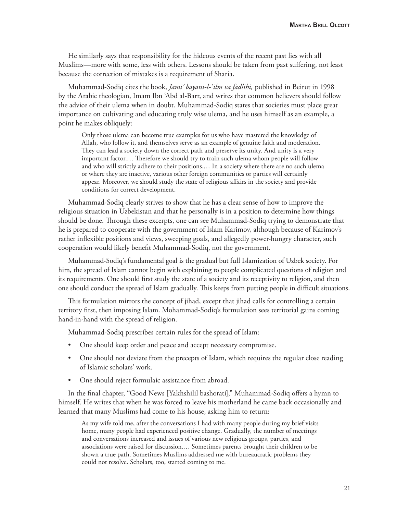He similarly says that responsibility for the hideous events of the recent past lies with all Muslims—more with some, less with others. Lessons should be taken from past suffering, not least because the correction of mistakes is a requirement of Sharia.

Muhammad-Sodiq cites the book, *Jami' bayani-l-'ilm va fadlihi,* published in Beirut in 1998 by the Arabic theologian, Imam Ibn 'Abd al-Barr, and writes that common believers should follow the advice of their ulema when in doubt. Muhammad-Sodiq states that societies must place great importance on cultivating and educating truly wise ulema, and he uses himself as an example, a point he makes obliquely:

Only those ulema can become true examples for us who have mastered the knowledge of Allah, who follow it, and themselves serve as an example of genuine faith and moderation. They can lead a society down the correct path and preserve its unity. And unity is a very important factor.… Therefore we should try to train such ulema whom people will follow and who will strictly adhere to their positions.… In a society where there are no such ulema or where they are inactive, various other foreign communities or parties will certainly appear. Moreover, we should study the state of religious affairs in the society and provide conditions for correct development.

Muhammad-Sodiq clearly strives to show that he has a clear sense of how to improve the religious situation in Uzbekistan and that he personally is in a position to determine how things should be done. Through these excerpts, one can see Muhammad-Sodiq trying to demonstrate that he is prepared to cooperate with the government of Islam Karimov, although because of Karimov's rather inflexible positions and views, sweeping goals, and allegedly power-hungry character, such cooperation would likely benefit Muhammad-Sodiq, not the government.

Muhammad-Sodiq's fundamental goal is the gradual but full Islamization of Uzbek society. For him, the spread of Islam cannot begin with explaining to people complicated questions of religion and its requirements. One should first study the state of a society and its receptivity to religion, and then one should conduct the spread of Islam gradually. This keeps from putting people in difficult situations.

This formulation mirrors the concept of jihad, except that jihad calls for controlling a certain territory first, then imposing Islam. Mohammad-Sodiq's formulation sees territorial gains coming hand-in-hand with the spread of religion.

Muhammad-Sodiq prescribes certain rules for the spread of Islam:

- One should keep order and peace and accept necessary compromise.
- One should not deviate from the precepts of Islam, which requires the regular close reading of Islamic scholars' work.
- One should reject formulaic assistance from abroad.

In the final chapter, "Good News [Yakhshilil bashorati]," Muhammad-Sodiq offers a hymn to himself. He writes that when he was forced to leave his motherland he came back occasionally and learned that many Muslims had come to his house, asking him to return:

As my wife told me, after the conversations I had with many people during my brief visits home, many people had experienced positive change. Gradually, the number of meetings and conversations increased and issues of various new religious groups, parties, and associations were raised for discussion.… Sometimes parents brought their children to be shown a true path. Sometimes Muslims addressed me with bureaucratic problems they could not resolve. Scholars, too, started coming to me.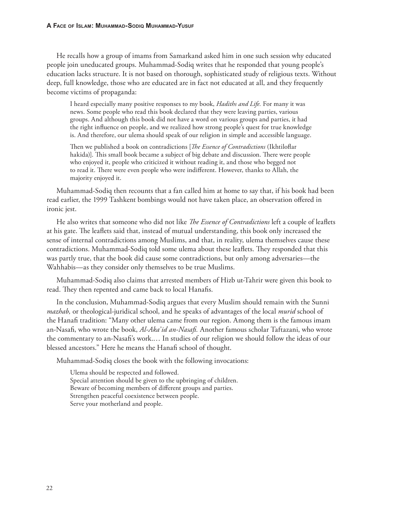He recalls how a group of imams from Samarkand asked him in one such session why educated people join uneducated groups. Muhammad-Sodiq writes that he responded that young people's education lacks structure. It is not based on thorough, sophisticated study of religious texts. Without deep, full knowledge, those who are educated are in fact not educated at all, and they frequently become victims of propaganda:

I heard especially many positive responses to my book, *Hadiths and Life.* For many it was news. Some people who read this book declared that they were leaving parties, various groups. And although this book did not have a word on various groups and parties, it had the right influence on people, and we realized how strong people's quest for true knowledge is. And therefore, our ulema should speak of our religion in simple and accessible language.

Then we published a book on contradictions [*The Essence of Contradictions* (Ikhtiloflar hakida)]. This small book became a subject of big debate and discussion. There were people who enjoyed it, people who criticized it without reading it, and those who begged not to read it. There were even people who were indifferent. However, thanks to Allah, the majority enjoyed it.

Muhammad-Sodiq then recounts that a fan called him at home to say that, if his book had been read earlier, the 1999 Tashkent bombings would not have taken place, an observation offered in ironic jest.

He also writes that someone who did not like *The Essence of Contradictions* left a couple of leaflets at his gate. The leaflets said that, instead of mutual understanding, this book only increased the sense of internal contradictions among Muslims, and that, in reality, ulema themselves cause these contradictions. Muhammad-Sodiq told some ulema about these leaflets. They responded that this was partly true, that the book did cause some contradictions, but only among adversaries—the Wahhabis—as they consider only themselves to be true Muslims.

Muhammad-Sodiq also claims that arrested members of Hizb ut-Tahrir were given this book to read. They then repented and came back to local Hanafis.

In the conclusion, Muhammad-Sodiq argues that every Muslim should remain with the Sunni *mazhab,* or theological-juridical school, and he speaks of advantages of the local *murid* school of the Hanafi tradition: "Many other ulema came from our region. Among them is the famous imam an-Nasafi, who wrote the book, *Al-Aka'id an-Nasafi.* Another famous scholar Taftazani, who wrote the commentary to an-Nasafi's work.… In studies of our religion we should follow the ideas of our blessed ancestors." Here he means the Hanafi school of thought.

Muhammad-Sodiq closes the book with the following invocations:

Ulema should be respected and followed. Special attention should be given to the upbringing of children. Beware of becoming members of different groups and parties. Strengthen peaceful coexistence between people. Serve your motherland and people.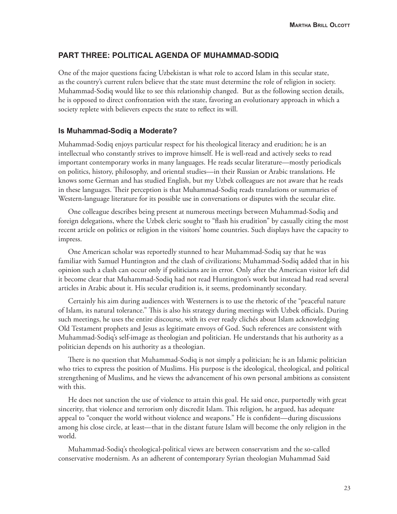### **Part Three: Political Agenda of Muhammad-Sodiq**

One of the major questions facing Uzbekistan is what role to accord Islam in this secular state, as the country's current rulers believe that the state must determine the role of religion in society. Muhammad-Sodiq would like to see this relationship changed. But as the following section details, he is opposed to direct confrontation with the state, favoring an evolutionary approach in which a society replete with believers expects the state to reflect its will.

### **Is Muhammad-Sodiq a Moderate?**

Muhammad-Sodiq enjoys particular respect for his theological literacy and erudition; he is an intellectual who constantly strives to improve himself. He is well-read and actively seeks to read important contemporary works in many languages. He reads secular literature—mostly periodicals on politics, history, philosophy, and oriental studies—in their Russian or Arabic translations. He knows some German and has studied English, but my Uzbek colleagues are not aware that he reads in these languages. Their perception is that Muhammad-Sodiq reads translations or summaries of Western-language literature for its possible use in conversations or disputes with the secular elite.

One colleague describes being present at numerous meetings between Muhammad-Sodiq and foreign delegations, where the Uzbek cleric sought to "flash his erudition" by casually citing the most recent article on politics or religion in the visitors' home countries. Such displays have the capacity to impress.

One American scholar was reportedly stunned to hear Muhammad-Sodiq say that he was familiar with Samuel Huntington and the clash of civilizations; Muhammad-Sodiq added that in his opinion such a clash can occur only if politicians are in error. Only after the American visitor left did it become clear that Muhammad-Sodiq had not read Huntington's work but instead had read several articles in Arabic about it. His secular erudition is, it seems, predominantly secondary.

Certainly his aim during audiences with Westerners is to use the rhetoric of the "peaceful nature of Islam, its natural tolerance." This is also his strategy during meetings with Uzbek officials. During such meetings, he uses the entire discourse, with its ever ready clichés about Islam acknowledging Old Testament prophets and Jesus as legitimate envoys of God. Such references are consistent with Muhammad-Sodiq's self-image as theologian and politician. He understands that his authority as a politician depends on his authority as a theologian.

There is no question that Muhammad-Sodiq is not simply a politician; he is an Islamic politician who tries to express the position of Muslims. His purpose is the ideological, theological, and political strengthening of Muslims, and he views the advancement of his own personal ambitions as consistent with this.

He does not sanction the use of violence to attain this goal. He said once, purportedly with great sincerity, that violence and terrorism only discredit Islam. This religion, he argued, has adequate appeal to "conquer the world without violence and weapons." He is confident—during discussions among his close circle, at least—that in the distant future Islam will become the only religion in the world.

Muhammad-Sodiq's theological-political views are between conservatism and the so-called conservative modernism. As an adherent of contemporary Syrian theologian Muhammad Said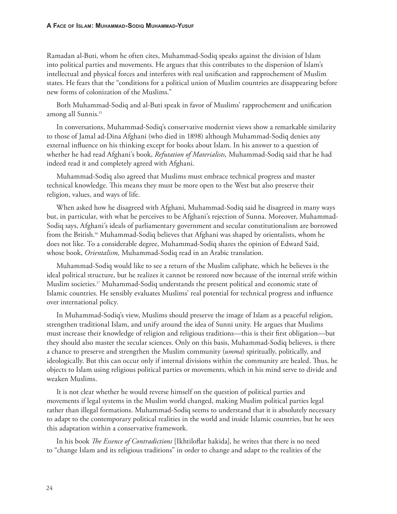Ramadan al-Buti, whom he often cites, Muhammad-Sodiq speaks against the division of Islam into political parties and movements. He argues that this contributes to the dispersion of Islam's intellectual and physical forces and interferes with real unification and rapprochement of Muslim states. He fears that the "conditions for a political union of Muslim countries are disappearing before new forms of colonization of the Muslims."

Both Muhammad-Sodiq and al-Buti speak in favor of Muslims' rapprochement and unification among all Sunnis.15

In conversations, Muhammad-Sodiq's conservative modernist views show a remarkable similarity to those of Jamal ad-Dina Afghani (who died in 1898) although Muhammad-Sodiq denies any external influence on his thinking except for books about Islam. In his answer to a question of whether he had read Afghani's book, *Refutation of Materialists,* Muhammad-Sodiq said that he had indeed read it and completely agreed with Afghani.

Muhammad-Sodiq also agreed that Muslims must embrace technical progress and master technical knowledge. This means they must be more open to the West but also preserve their religion, values, and ways of life.

When asked how he disagreed with Afghani, Muhammad-Sodiq said he disagreed in many ways but, in particular, with what he perceives to be Afghani's rejection of Sunna. Moreover, Muhammad-Sodiq says, Afghani's ideals of parliamentary government and secular constitutionalism are borrowed from the British.<sup>16</sup> Muhammad-Sodiq believes that Afghani was shaped by orientalists, whom he does not like. To a considerable degree, Muhammad-Sodiq shares the opinion of Edward Said, whose book, *Orientalism,* Muhammad-Sodiq read in an Arabic translation.

Muhammad-Sodiq would like to see a return of the Muslim caliphate, which he believes is the ideal political structure, but he realizes it cannot be restored now because of the internal strife within Muslim societies.17 Muhammad-Sodiq understands the present political and economic state of Islamic countries. He sensibly evaluates Muslims' real potential for technical progress and influence over international policy.

In Muhammad-Sodiq's view, Muslims should preserve the image of Islam as a peaceful religion, strengthen traditional Islam, and unify around the idea of Sunni unity. He argues that Muslims must increase their knowledge of religion and religious traditions—this is their first obligation—but they should also master the secular sciences. Only on this basis, Muhammad-Sodiq believes, is there a chance to preserve and strengthen the Muslim community (*umma*) spiritually, politically, and ideologically. But this can occur only if internal divisions within the community are healed. Thus, he objects to Islam using religious political parties or movements, which in his mind serve to divide and weaken Muslims.

It is not clear whether he would reverse himself on the question of political parties and movements if legal systems in the Muslim world changed, making Muslim political parties legal rather than illegal formations. Muhammad-Sodiq seems to understand that it is absolutely necessary to adapt to the contemporary political realities in the world and inside Islamic countries, but he sees this adaptation within a conservative framework.

In his book *The Essence of Contradictions* [Ikhtiloflar hakida], he writes that there is no need to "change Islam and its religious traditions" in order to change and adapt to the realities of the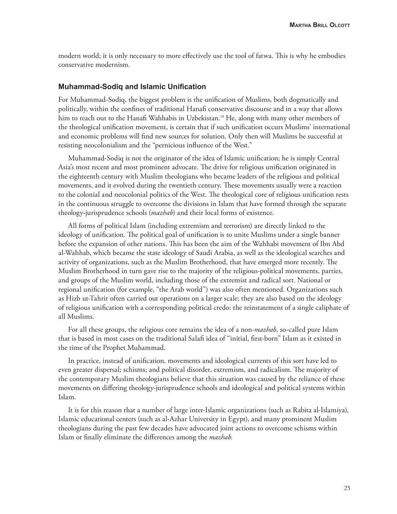modern world; it is only necessary to more effectively use the tool of fatwa. This is why he embodies conservative modernism.

#### **Muhammad-Sodiq and Islamic Unification**

For Muhammad-Sodiq, the biggest problem is the unification of Muslims, both dogmatically and politically, within the confines of traditional Hanafi conservative discourse and in a way that allows him to reach out to the Hanafi Wahhabis in Uzbekistan.<sup>18</sup> He, along with many other members of the theological unification movement, is certain that if such unification occurs Muslims' international and economic problems will find new sources for solution. Only then will Muslims be successful at resisting neocolonialism and the "pernicious influence of the West."

Muhammad-Sodiq is not the originator of the idea of Islamic unification; he is simply Central Asia's most recent and most prominent advocate. The drive for religious unification originated in the eighteenth century with Muslim theologians who became leaders of the religious and political movements, and it evolved during the twentieth century. These movements usually were a reaction to the colonial and neocolonial politics of the West. The theological core of religious unification rests in the continuous struggle to overcome the divisions in Islam that have formed through the separate theology-jurisprudence schools (*mazhab*) and their local forms of existence.

All forms of political Islam (including extremism and terrorism) are directly linked to the ideology of unification. The political goal of unification is to unite Muslims under a single banner before the expansion of other nations. This has been the aim of the Wahhabi movement of Ibn Abd al-Wahhab, which became the state ideology of Saudi Arabia, as well as the ideological searches and activity of organizations, such as the Muslim Brotherhood, that have emerged more recently. The Muslim Brotherhood in turn gave rise to the majority of the religious-political movements, parties, and groups of the Muslim world, including those of the extremist and radical sort. National or regional unification (for example, "the Arab world") was also often mentioned. Organizations such as Hizb ut-Tahrir often carried out operations on a larger scale; they are also based on the ideology of religious unification with a corresponding political credo: the reinstatement of a single caliphate of all Muslims.

For all these groups, the religious core remains the idea of a non-*mazhab,* so-called pure Islam that is based in most cases on the traditional Salafi idea of "initial, first-born" Islam as it existed in the time of the Prophet Muhammad.

In practice, instead of unification, movements and ideological currents of this sort have led to even greater dispersal; schisms; and political disorder, extremism, and radicalism. The majority of the contemporary Muslim theologians believe that this situation was caused by the reliance of these movements on differing theology-jurisprudence schools and ideological and political systems within Islam.

It is for this reason that a number of large inter-Islamic organizations (such as Rabita al-Islamiya), Islamic educational centers (such as al-Azhar University in Egypt), and many prominent Muslim theologians during the past few decades have advocated joint actions to overcome schisms within Islam or finally eliminate the differences among the *mazhab.*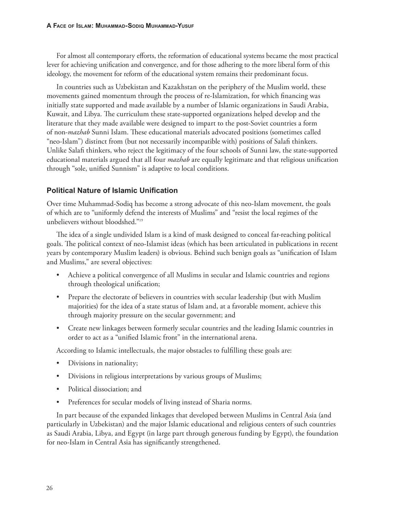For almost all contemporary efforts, the reformation of educational systems became the most practical lever for achieving unification and convergence, and for those adhering to the more liberal form of this ideology, the movement for reform of the educational system remains their predominant focus.

In countries such as Uzbekistan and Kazakhstan on the periphery of the Muslim world, these movements gained momentum through the process of re-Islamization, for which financing was initially state supported and made available by a number of Islamic organizations in Saudi Arabia, Kuwait, and Libya. The curriculum these state-supported organizations helped develop and the literature that they made available were designed to impart to the post-Soviet countries a form of non-*mazhab* Sunni Islam. These educational materials advocated positions (sometimes called "neo-Islam") distinct from (but not necessarily incompatible with) positions of Salafi thinkers. Unlike Salafi thinkers, who reject the legitimacy of the four schools of Sunni law, the state-supported educational materials argued that all four *mazhab* are equally legitimate and that religious unification through "sole, unified Sunnism" is adaptive to local conditions.

## **Political Nature of Islamic Unification**

Over time Muhammad-Sodiq has become a strong advocate of this neo-Islam movement, the goals of which are to "uniformly defend the interests of Muslims" and "resist the local regimes of the unbelievers without bloodshed."<sup>19</sup>

The idea of a single undivided Islam is a kind of mask designed to conceal far-reaching political goals. The political context of neo-Islamist ideas (which has been articulated in publications in recent years by contemporary Muslim leaders) is obvious. Behind such benign goals as "unification of Islam and Muslims," are several objectives:

- Achieve a political convergence of all Muslims in secular and Islamic countries and regions through theological unification;
- Prepare the electorate of believers in countries with secular leadership (but with Muslim majorities) for the idea of a state status of Islam and, at a favorable moment, achieve this through majority pressure on the secular government; and
- Create new linkages between formerly secular countries and the leading Islamic countries in order to act as a "unified Islamic front" in the international arena.

According to Islamic intellectuals, the major obstacles to fulfilling these goals are:

- Divisions in nationality;
- Divisions in religious interpretations by various groups of Muslims;
- Political dissociation; and
- Preferences for secular models of living instead of Sharia norms.

In part because of the expanded linkages that developed between Muslims in Central Asia (and particularly in Uzbekistan) and the major Islamic educational and religious centers of such countries as Saudi Arabia, Libya, and Egypt (in large part through generous funding by Egypt), the foundation for neo-Islam in Central Asia has significantly strengthened.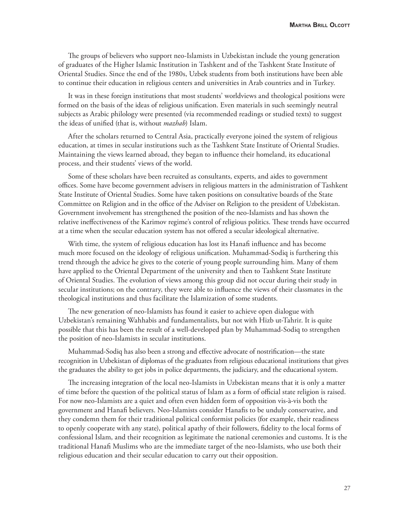The groups of believers who support neo-Islamists in Uzbekistan include the young generation of graduates of the Higher Islamic Institution in Tashkent and of the Tashkent State Institute of Oriental Studies. Since the end of the 1980s, Uzbek students from both institutions have been able to continue their education in religious centers and universities in Arab countries and in Turkey.

It was in these foreign institutions that most students' worldviews and theological positions were formed on the basis of the ideas of religious unification. Even materials in such seemingly neutral subjects as Arabic philology were presented (via recommended readings or studied texts) to suggest the ideas of unified (that is, without *mazhab*) Islam.

After the scholars returned to Central Asia, practically everyone joined the system of religious education, at times in secular institutions such as the Tashkent State Institute of Oriental Studies. Maintaining the views learned abroad, they began to influence their homeland, its educational process, and their students' views of the world.

Some of these scholars have been recruited as consultants, experts, and aides to government offices. Some have become government advisers in religious matters in the administration of Tashkent State Institute of Oriental Studies. Some have taken positions on consultative boards of the State Committee on Religion and in the office of the Adviser on Religion to the president of Uzbekistan. Government involvement has strengthened the position of the neo-Islamists and has shown the relative ineffectiveness of the Karimov regime's control of religious politics. These trends have occurred at a time when the secular education system has not offered a secular ideological alternative.

With time, the system of religious education has lost its Hanafi influence and has become much more focused on the ideology of religious unification. Muhammad-Sodiq is furthering this trend through the advice he gives to the coterie of young people surrounding him. Many of them have applied to the Oriental Department of the university and then to Tashkent State Institute of Oriental Studies. The evolution of views among this group did not occur during their study in secular institutions; on the contrary, they were able to influence the views of their classmates in the theological institutions and thus facilitate the Islamization of some students.

The new generation of neo-Islamists has found it easier to achieve open dialogue with Uzbekistan's remaining Wahhabis and fundamentalists, but not with Hizb ut-Tahrir. It is quite possible that this has been the result of a well-developed plan by Muhammad-Sodiq to strengthen the position of neo-Islamists in secular institutions.

Muhammad-Sodiq has also been a strong and effective advocate of nostrification—the state recognition in Uzbekistan of diplomas of the graduates from religious educational institutions that gives the graduates the ability to get jobs in police departments, the judiciary, and the educational system.

The increasing integration of the local neo-Islamists in Uzbekistan means that it is only a matter of time before the question of the political status of Islam as a form of official state religion is raised. For now neo-Islamists are a quiet and often even hidden form of opposition vis-à-vis both the government and Hanafi believers. Neo-Islamists consider Hanafis to be unduly conservative, and they condemn them for their traditional political conformist policies (for example, their readiness to openly cooperate with any state), political apathy of their followers, fidelity to the local forms of confessional Islam, and their recognition as legitimate the national ceremonies and customs. It is the traditional Hanafi Muslims who are the immediate target of the neo-Islamists, who use both their religious education and their secular education to carry out their opposition.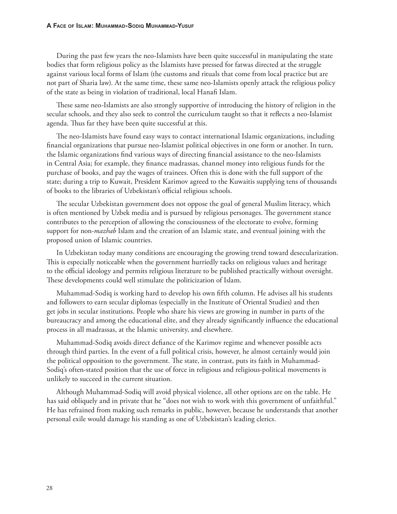#### **A Face of Islam: Muhammad-Sodiq Muhammad-Yusuf**

During the past few years the neo-Islamists have been quite successful in manipulating the state bodies that form religious policy as the Islamists have pressed for fatwas directed at the struggle against various local forms of Islam (the customs and rituals that come from local practice but are not part of Sharia law). At the same time, these same neo-Islamists openly attack the religious policy of the state as being in violation of traditional, local Hanafi Islam.

These same neo-Islamists are also strongly supportive of introducing the history of religion in the secular schools, and they also seek to control the curriculum taught so that it reflects a neo-Islamist agenda. Thus far they have been quite successful at this.

The neo-Islamists have found easy ways to contact international Islamic organizations, including financial organizations that pursue neo-Islamist political objectives in one form or another. In turn, the Islamic organizations find various ways of directing financial assistance to the neo-Islamists in Central Asia; for example, they finance madrassas, channel money into religious funds for the purchase of books, and pay the wages of trainees. Often this is done with the full support of the state; during a trip to Kuwait, President Karimov agreed to the Kuwaitis supplying tens of thousands of books to the libraries of Uzbekistan's official religious schools.

The secular Uzbekistan government does not oppose the goal of general Muslim literacy, which is often mentioned by Uzbek media and is pursued by religious personages. The government stance contributes to the perception of allowing the consciousness of the electorate to evolve, forming support for non-*mazhab* Islam and the creation of an Islamic state, and eventual joining with the proposed union of Islamic countries.

In Uzbekistan today many conditions are encouraging the growing trend toward desecularization. This is especially noticeable when the government hurriedly tacks on religious values and heritage to the official ideology and permits religious literature to be published practically without oversight. These developments could well stimulate the politicization of Islam.

Muhammad-Sodiq is working hard to develop his own fifth column. He advises all his students and followers to earn secular diplomas (especially in the Institute of Oriental Studies) and then get jobs in secular institutions. People who share his views are growing in number in parts of the bureaucracy and among the educational elite, and they already significantly influence the educational process in all madrassas, at the Islamic university, and elsewhere.

Muhammad-Sodiq avoids direct defiance of the Karimov regime and whenever possible acts through third parties. In the event of a full political crisis, however, he almost certainly would join the political opposition to the government. The state, in contrast, puts its faith in Muhammad-Sodiq's often-stated position that the use of force in religious and religious-political movements is unlikely to succeed in the current situation.

Although Muhammad-Sodiq will avoid physical violence, all other options are on the table. He has said obliquely and in private that he "does not wish to work with this government of unfaithful." He has refrained from making such remarks in public, however, because he understands that another personal exile would damage his standing as one of Uzbekistan's leading clerics.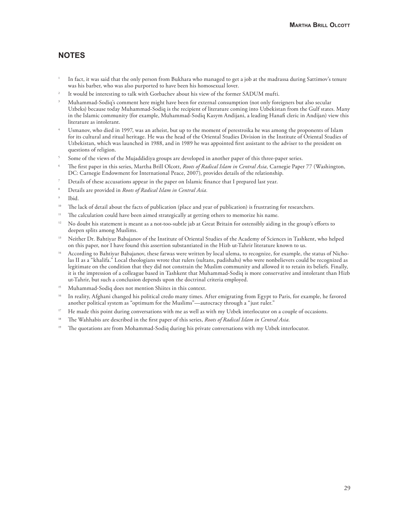## **NOTES**

- In fact, it was said that the only person from Bukhara who managed to get a job at the madrassa during Sattimov's tenure was his barber, who was also purported to have been his homosexual lover.
- <sup>2</sup> It would be interesting to talk with Gorbachev about his view of the former SADUM mufti.
- Muhammad-Sodiq's comment here might have been for external consumption (not only foreigners but also secular Uzbeks) because today Muhammad-Sodiq is the recipient of literature coming into Uzbekistan from the Gulf states. Many in the Islamic community (for example, Muhammad-Sodiq Kasym Andijani, a leading Hanafi cleric in Andijan) view this literature as intolerant.
- Usmanov, who died in 1997, was an atheist, but up to the moment of perestroika he was among the proponents of Islam for its cultural and ritual heritage. He was the head of the Oriental Studies Division in the Institute of Oriental Studies of Uzbekistan, which was launched in 1988, and in 1989 he was appointed first assistant to the adviser to the president on questions of religion.
- <sup>5</sup> Some of the views of the Mujaddidiya groups are developed in another paper of this three-paper series.
- <sup>6</sup> The first paper in this series, Martha Brill Olcott, *Roots of Radical Islam in Central Asia,* Carnegie Paper 77 (Washington, DC: Carnegie Endowment for International Peace, 2007), provides details of the relationship.
- Details of these accusations appear in the paper on Islamic finance that I prepared last year.
- <sup>8</sup> Details are provided in *Roots of Radical Islam in Central Asia.*
- <sup>9</sup> Ibid.
- <sup>10</sup> The lack of detail about the facts of publication (place and year of publication) is frustrating for researchers.
- $11$  The calculation could have been aimed strategically at getting others to memorize his name.
- <sup>12</sup> No doubt his statement is meant as a not-too-subtle jab at Great Britain for ostensibly aiding in the group's efforts to deepen splits among Muslims.
- <sup>13</sup> Neither Dr. Bahtiyar Babajanov of the Institute of Oriental Studies of the Academy of Sciences in Tashkent, who helped on this paper, nor I have found this assertion substantiated in the Hizb ut-Tahrir literature known to us.
- <sup>14</sup> According to Bahtiyar Babajanov, these fatwas were written by local ulema, to recognize, for example, the status of Nicholas II as a "khalifa." Local theologians wrote that rulers (sultans, padishahs) who were nonbelievers could be recognized as legitimate on the condition that they did not constrain the Muslim community and allowed it to retain its beliefs. Finally, it is the impression of a colleague based in Tashkent that Muhammad-Sodiq is more conservative and intolerant than Hizb ut-Tahrir, but such a conclusion depends upon the doctrinal criteria employed.
- <sup>15</sup> Muhammad-Sodiq does not mention Shiites in this context.
- <sup>16</sup> In reality, Afghani changed his political credo many times. After emigrating from Egypt to Paris, for example, he favored another political system as "optimum for the Muslims"—autocracy through a "just ruler."
- $17$  He made this point during conversations with me as well as with my Uzbek interlocutor on a couple of occasions.
- <sup>18</sup> The Wahhabis are described in the first paper of this series, *Roots of Radical Islam in Central Asia*.
- <sup>19</sup> The quotations are from Mohammad-Sodiq during his private conversations with my Uzbek interlocutor.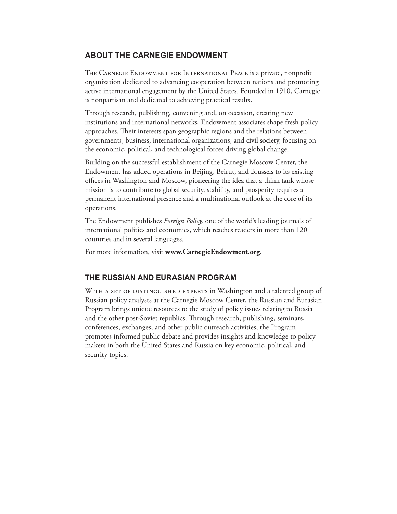## **About the Carnegie Endowment**

The Carnegie Endowment for International Peace is a private, nonprofit organization dedicated to advancing cooperation between nations and promoting active international engagement by the United States. Founded in 1910, Carnegie is nonpartisan and dedicated to achieving practical results.

Through research, publishing, convening and, on occasion, creating new institutions and international networks, Endowment associates shape fresh policy approaches. Their interests span geographic regions and the relations between governments, business, international organizations, and civil society, focusing on the economic, political, and technological forces driving global change.

Building on the successful establishment of the Carnegie Moscow Center, the Endowment has added operations in Beijing, Beirut, and Brussels to its existing offices in Washington and Moscow, pioneering the idea that a think tank whose mission is to contribute to global security, stability, and prosperity requires a permanent international presence and a multinational outlook at the core of its operations.

The Endowment publishes *Foreign Policy,* one of the world's leading journals of international politics and economics, which reaches readers in more than 120 countries and in several languages.

For more information, visit **www.CarnegieEndowment.org**.

### **THE RUSSIAN AND EURASIAN PROGRAM**

WITH A SET OF DISTINGUISHED EXPERTS in Washington and a talented group of Russian policy analysts at the Carnegie Moscow Center, the Russian and Eurasian Program brings unique resources to the study of policy issues relating to Russia and the other post-Soviet republics. Through research, publishing, seminars, conferences, exchanges, and other public outreach activities, the Program promotes informed public debate and provides insights and knowledge to policy makers in both the United States and Russia on key economic, political, and security topics.